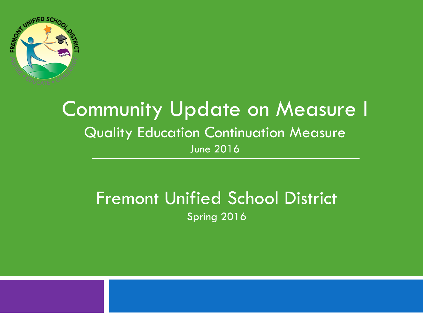

#### Community Update on Measure I Quality Education Continuation Measure June 2016

#### Fremont Unified School District Spring 2016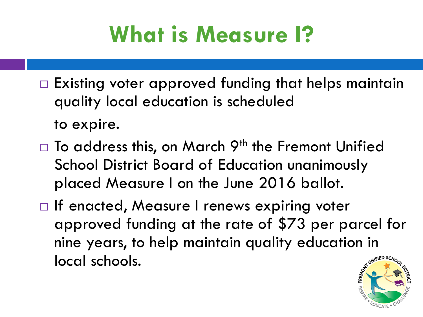# **What is Measure I?**

- $\Box$  Existing voter approved funding that helps maintain quality local education is scheduled to expire.
- $\Box$  To address this, on March 9<sup>th</sup> the Fremont Unified School District Board of Education unanimously placed Measure I on the June 2016 ballot.
- □ If enacted, Measure I renews expiring voter approved funding at the rate of \$73 per parcel for nine years, to help maintain quality education in local schools.

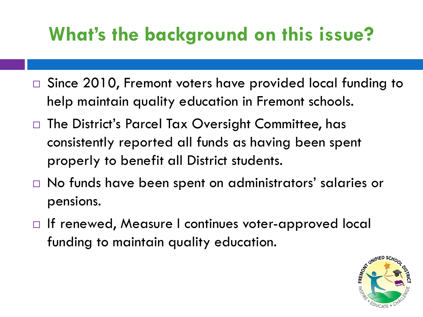### **What's the background on this issue?**

- □ Since 2010, Fremont voters have provided local funding to help maintain quality education in Fremont schools.
- $\Box$  The District's Parcel Tax Oversight Committee, has consistently reported all funds as having been spent properly to benefit all District students.
- No funds have been spent on administrators' salaries or pensions.
- □ If renewed, Measure I continues voter-approved local funding to maintain quality education.

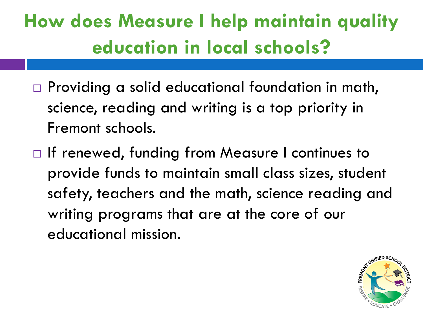# **How does Measure I help maintain quality education in local schools?**

- $\Box$  Providing a solid educational foundation in math, science, reading and writing is a top priority in Fremont schools.
- □ If renewed, funding from Measure I continues to provide funds to maintain small class sizes, student safety, teachers and the math, science reading and writing programs that are at the core of our educational mission.

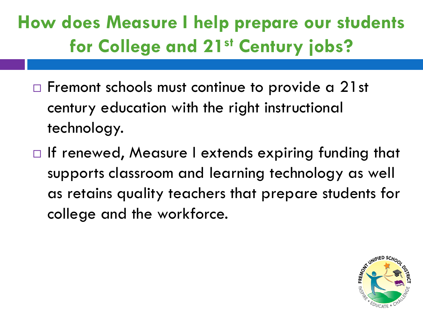**How does Measure I help prepare our students for College and 21st Century jobs?**

- $\Box$  Fremont schools must continue to provide a 21st century education with the right instructional technology.
- $\Box$  If renewed, Measure I extends expiring funding that supports classroom and learning technology as well as retains quality teachers that prepare students for college and the workforce.

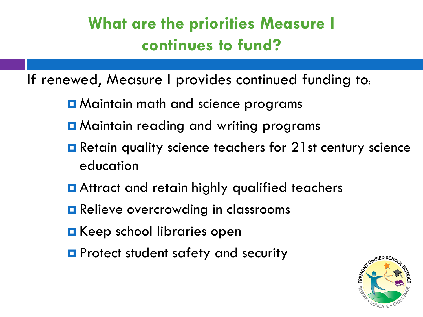#### **What are the priorities Measure I continues to fund?**

If renewed, Measure I provides continued funding to:

- **O** Maintain math and science programs
- **Q** Maintain reading and writing programs
- **Retain quality science teachers for 21st century science** education
- **E** Attract and retain highly qualified teachers
- **Relieve overcrowding in classrooms**
- **E** Keep school libraries open
- **P** Protect student safety and security